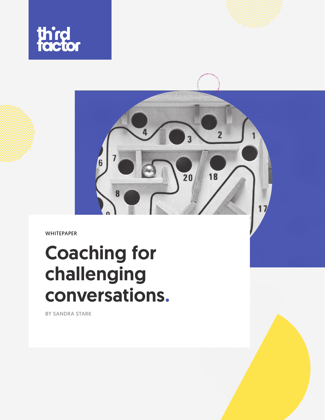



WHITEPAPER

# Coaching for challenging conversations.

BY SANDRA STARK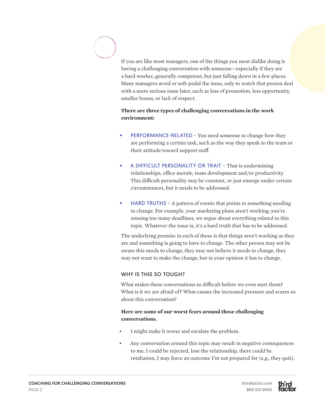If you are like most managers, one of the things you most dislike doing is having a challenging conversation with someone—especially if they are a hard worker, generally competent, but just falling down in a few places. Many managers avoid or soft-pedal the issue, only to watch that person deal with a more serious issue later, such as loss of promotion, less opportunity, smaller bonus, or lack of respect.

# **There are three types of challenging conversations in the work environment:**

- PERFORMANCE-RELATED You need someone to change how they are performing a certain task, such as the way they speak to the team or their attitude toward support staff.
- A DIFFICULT PERSONALITY OR TRAIT That is undermining relationships, office morale, team development and/or productivity. This difficult personality may be constant, or just emerge under certain circumstances, but it needs to be addressed.
- HARD TRUTHS A pattern of events that points to something needing to change. For example, your marketing plans aren't working, you're missing too many deadlines, we argue about everything related to this topic. Whatever the issue is, it's a hard truth that has to be addressed.

The underlying premise in each of these is that things aren't working as they are and something is going to have to change. The other person may not be aware this needs to change, they may not believe it needs to change, they may not want to make the change, but in your opinion it has to change.

## WHY IS THIS SO TOUGH?

What makes these conversations so difficult before we even start them? What is it we are afraid of? What causes the increased pressure and scares us about this conversation?

## **Here are some of our worst fears around these challenging conversations.**

- I might make it worse and escalate the problem.
- Any conversation around this topic may result in negative consequences to me. I could be rejected, lose the relationship, there could be retaliation, I may force an outcome I'm not prepared for (e.g., they quit).

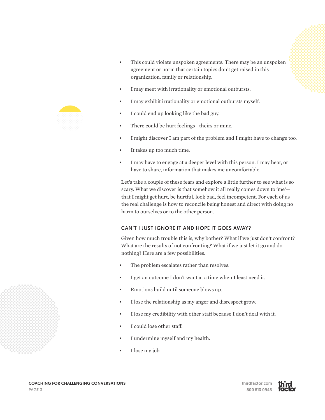

- This could violate unspoken agreements. There may be an unspoken agreement or norm that certain topics don't get raised in this organization, family or relationship.
- I may meet with irrationality or emotional outbursts.
- I may exhibit irrationality or emotional outbursts myself.
- I could end up looking like the bad guy.
- There could be hurt feelings—theirs or mine.
- I might discover I am part of the problem and I might have to change too.
- It takes up too much time.
- I may have to engage at a deeper level with this person. I may hear, or have to share, information that makes me uncomfortable.

Let's take a couple of these fears and explore a little further to see what is so scary. What we discover is that somehow it all really comes down to 'me' that I might get hurt, be hurtful, look bad, feel incompetent. For each of us the real challenge is how to reconcile being honest and direct with doing no harm to ourselves or to the other person.

## CAN'T I JUST IGNORE IT AND HOPE IT GOES AWAY?

Given how much trouble this is, why bother? What if we just don't confront? What are the results of not confronting? What if we just let it go and do nothing? Here are a few possibilities.

- The problem escalates rather than resolves.
- I get an outcome I don't want at a time when I least need it.
- Emotions build until someone blows up.
- I lose the relationship as my anger and disrespect grow.
- I lose my credibility with other staff because I don't deal with it.
- I could lose other staff.
- I undermine myself and my health.
- I lose my job.





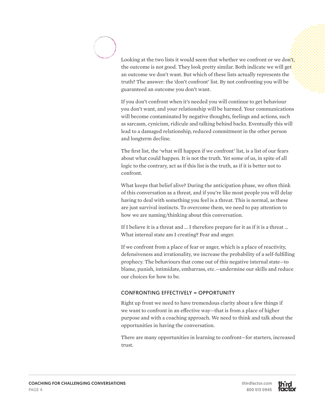Looking at the two lists it would seem that whether we confront or we don't, the outcome is not good. They look pretty similar. Both indicate we will get an outcome we don't want. But which of these lists actually represents the truth? The answer: the 'don't confront' list. By not confronting you will be guaranteed an outcome you don't want.

If you don't confront when it's needed you will continue to get behaviour you don't want, and your relationship will be harmed. Your communications will become contaminated by negative thoughts, feelings and actions, such as sarcasm, cynicism, ridicule and talking behind backs. Eventually this will lead to a damaged relationship, reduced commitment in the other person and longterm decline.

The first list, the 'what will happen if we confront' list, is a list of our fears about what could happen. It is not the truth. Yet some of us, in spite of all logic to the contrary, act as if this list is the truth, as if it is better not to confront.

What keeps that belief alive? During the anticipation phase, we often think of this conversation as a threat, and if you're like most people you will delay having to deal with something you feel is a threat. This is normal, as these are just survival instincts. To overcome them, we need to pay attention to how we are naming/thinking about this conversation.

If I believe it is a threat and … I therefore prepare for it as if it is a threat … What internal state am I creating? Fear and anger.

If we confront from a place of fear or anger, which is a place of reactivity, defensiveness and irrationality, we increase the probability of a self-fulfilling prophecy. The behaviours that come out of this negative internal state—to blame, punish, intimidate, embarrass, etc.—undermine our skills and reduce our choices for how to be.

## CONFRONTING EFFECTIVELY = OPPORTUNITY

Right up front we need to have tremendous clarity about a few things if we want to confront in an effective way—that is from a place of higher purpose and with a coaching approach. We need to think and talk about the opportunities in having the conversation.

There are many opportunities in learning to confront—for starters, increased trust.







PAGE 4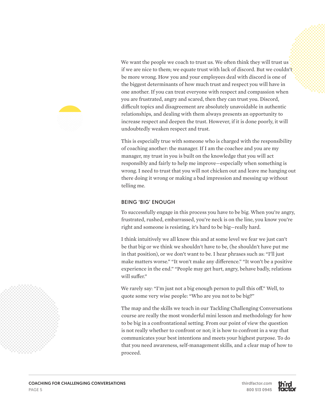

We want the people we coach to trust us. We often think they will trust us if we are nice to them; we equate trust with lack of discord. But we couldn't be more wrong. How you and your employees deal with discord is one of the biggest determinants of how much trust and respect you will have in one another. If you can treat everyone with respect and compassion when you are frustrated, angry and scared, then they can trust you. Discord, difficult topics and disagreement are absolutely unavoidable in authentic relationships, and dealing with them always presents an opportunity to increase respect and deepen the trust. However, if it is done poorly, it will undoubtedly weaken respect and trust.

This is especially true with someone who is charged with the responsibility of coaching another: the manager. If I am the coachee and you are my manager, my trust in you is built on the knowledge that you will act responsibly and fairly to help me improve—especially when something is wrong. I need to trust that you will not chicken out and leave me hanging out there doing it wrong or making a bad impression and messing up without telling me.

#### BEING 'BIG' ENOUGH

To successfully engage in this process you have to be big. When you're angry, frustrated, rushed, embarrassed, you're neck is on the line, you know you're right and someone is resisting, it's hard to be big—really hard.

I think intuitively we all know this and at some level we fear we just can't be that big or we think we shouldn't have to be, (he shouldn't have put me in that position), or we don't want to be. I hear phrases such as: "I'll just make matters worse." "It won't make any difference." "It won't be a positive experience in the end." "People may get hurt, angry, behave badly, relations will suffer"

We rarely say: "I'm just not a big enough person to pull this off." Well, to quote some very wise people: "Who are you not to be big?"

The map and the skills we teach in our Tackling Challenging Conversations course are really the most wonderful mini lesson and methodology for how to be big in a confrontational setting. From our point of view the question is not really whether to confront or not; it is how to confront in a way that communicates your best intentions and meets your highest purpose. To do that you need awareness, self-management skills, and a clear map of how to proceed.